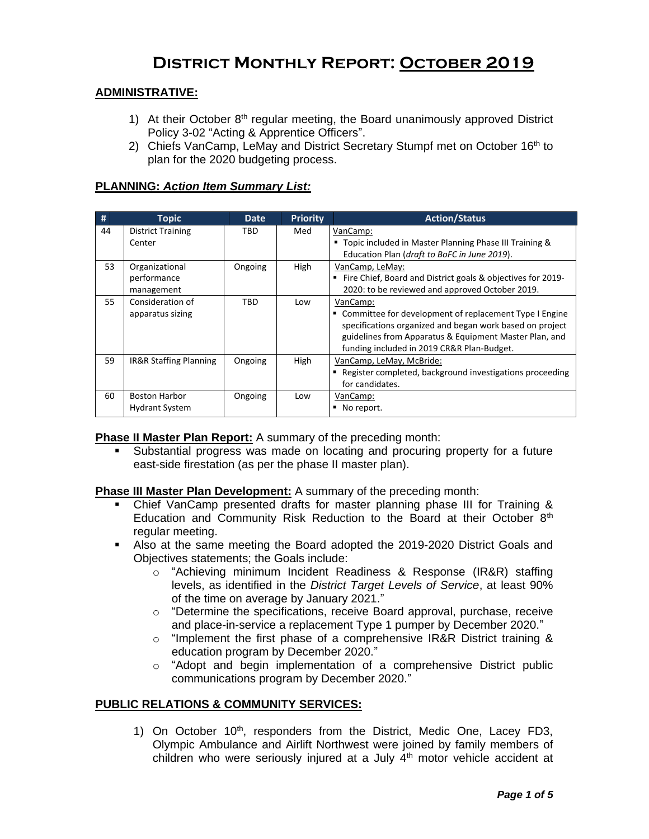# **District Monthly Report: October 2019**

## **ADMINISTRATIVE:**

- 1) At their October  $8<sup>th</sup>$  regular meeting, the Board unanimously approved District Policy 3-02 "Acting & Apprentice Officers".
- 2) Chiefs VanCamp, LeMay and District Secretary Stumpf met on October 16<sup>th</sup> to plan for the 2020 budgeting process.

### **PLANNING:** *Action Item Summary List:*

| #  | <b>Topic</b>                                  | <b>Date</b> | <b>Priority</b> | <b>Action/Status</b>                                                                                                                                                                                                                     |
|----|-----------------------------------------------|-------------|-----------------|------------------------------------------------------------------------------------------------------------------------------------------------------------------------------------------------------------------------------------------|
| 44 | <b>District Training</b><br>Center            | TBD         | Med             | VanCamp:<br>■ Topic included in Master Planning Phase III Training &<br>Education Plan (draft to BoFC in June 2019).                                                                                                                     |
| 53 | Organizational<br>performance<br>management   | Ongoing     | <b>High</b>     | VanCamp, LeMay:<br>Fire Chief, Board and District goals & objectives for 2019-<br>2020: to be reviewed and approved October 2019.                                                                                                        |
| 55 | Consideration of<br>apparatus sizing          | TBD         | Low             | VanCamp:<br>• Committee for development of replacement Type I Engine<br>specifications organized and began work based on project<br>guidelines from Apparatus & Equipment Master Plan, and<br>funding included in 2019 CR&R Plan-Budget. |
| 59 | IR&R Staffing Planning                        | Ongoing     | <b>High</b>     | VanCamp, LeMay, McBride:<br>Register completed, background investigations proceeding<br>for candidates.                                                                                                                                  |
| 60 | <b>Boston Harbor</b><br><b>Hydrant System</b> | Ongoing     | Low             | VanCamp:<br>No report.                                                                                                                                                                                                                   |

**Phase II Master Plan Report:** A summary of the preceding month:

 Substantial progress was made on locating and procuring property for a future east-side firestation (as per the phase II master plan).

### **Phase III Master Plan Development:** A summary of the preceding month:

- Chief VanCamp presented drafts for master planning phase III for Training & Education and Community Risk Reduction to the Board at their October  $8<sup>th</sup>$ regular meeting.
- Also at the same meeting the Board adopted the 2019-2020 District Goals and Objectives statements; the Goals include:
	- o "Achieving minimum Incident Readiness & Response (IR&R) staffing levels, as identified in the *District Target Levels of Service*, at least 90% of the time on average by January 2021."
	- o "Determine the specifications, receive Board approval, purchase, receive and place-in-service a replacement Type 1 pumper by December 2020."
	- $\circ$  "Implement the first phase of a comprehensive IR&R District training & education program by December 2020."
	- $\circ$  "Adopt and begin implementation of a comprehensive District public communications program by December 2020."

### **PUBLIC RELATIONS & COMMUNITY SERVICES:**

1) On October 10<sup>th</sup>, responders from the District, Medic One, Lacey FD3, Olympic Ambulance and Airlift Northwest were joined by family members of children who were seriously injured at a July  $4<sup>th</sup>$  motor vehicle accident at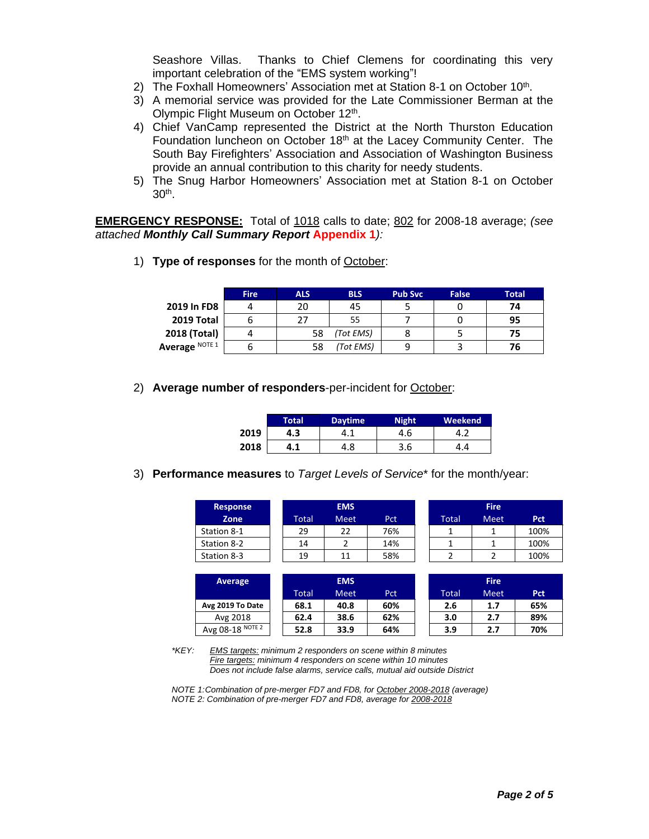Seashore Villas. Thanks to Chief Clemens for coordinating this very important celebration of the "EMS system working"!

- 2) The Foxhall Homeowners' Association met at Station 8-1 on October 10<sup>th</sup>.
- 3) A memorial service was provided for the Late Commissioner Berman at the Olympic Flight Museum on October 12<sup>th</sup>.
- 4) Chief VanCamp represented the District at the North Thurston Education Foundation luncheon on October 18<sup>th</sup> at the Lacey Community Center. The South Bay Firefighters' Association and Association of Washington Business provide an annual contribution to this charity for needy students.
- 5) The Snug Harbor Homeowners' Association met at Station 8-1 on October 30th .

**EMERGENCY RESPONSE:** Total of 1018 calls to date; 802 for 2008-18 average; *(see attached Monthly Call Summary Report* **Appendix 1***):*

1) **Type of responses** for the month of October:

|                | <b>Fire</b> | <b>ALS</b> | <b>BLS</b> | <b>Pub Svc</b> | False | Total |
|----------------|-------------|------------|------------|----------------|-------|-------|
| 2019 In FD8    |             | 20         | 45         |                |       | 74    |
| 2019 Total     |             | 77         | 55         |                |       | 95    |
| 2018 (Total)   |             | 58         | (Tot EMS)  |                |       |       |
| Average NOTE 1 |             | 58         | (Tot EMS)  |                |       | 76    |

2) **Average number of responders**-per-incident for October:

|      | Total | <b>Daytime</b> | <b>Night</b> | Weekend |
|------|-------|----------------|--------------|---------|
| 2019 | 4.3   |                | 4.6          |         |
| 2018 | 4.1   | 4.8            | 3.6          |         |

3) **Performance measures** to *Target Levels of Service*\* for the month/year:

| <b>Response</b> |       | <b>EMS</b>  |     |       | <b>Fire</b> |      |
|-----------------|-------|-------------|-----|-------|-------------|------|
| Zone            | Total | <b>Meet</b> | Pct | Total | <b>Meet</b> | Pct  |
| Station 8-1     | 29    | 22          | 76% |       |             | 100% |
| Station 8-2     | 14    |             | 14% |       |             | 100% |
| Station 8-3     | 19    |             | 58% |       |             | 100% |

| Average          |       | <b>EMS</b>  |     |        | <b>Fire</b> |     |
|------------------|-------|-------------|-----|--------|-------------|-----|
|                  | Total | <b>Meet</b> | Pct | Total' | <b>Meet</b> | Pct |
| Avg 2019 To Date | 68.1  | 40.8        | 60% | 2.6    | 1.7         | 65% |
| Avg 2018         | 62.4  | 38.6        | 62% | 3.0    | 2.7         | 89% |
| Avg 08-18 NOTE 2 | 52.8  | 33.9        | 64% | 3.9    | 2.7         | 70% |

*\*KEY: EMS targets: minimum 2 responders on scene within 8 minutes Fire targets: minimum 4 responders on scene within 10 minutes Does not include false alarms, service calls, mutual aid outside District*

*NOTE 1:Combination of pre-merger FD7 and FD8, for October 2008-2018 (average) NOTE 2: Combination of pre-merger FD7 and FD8, average for 2008-2018*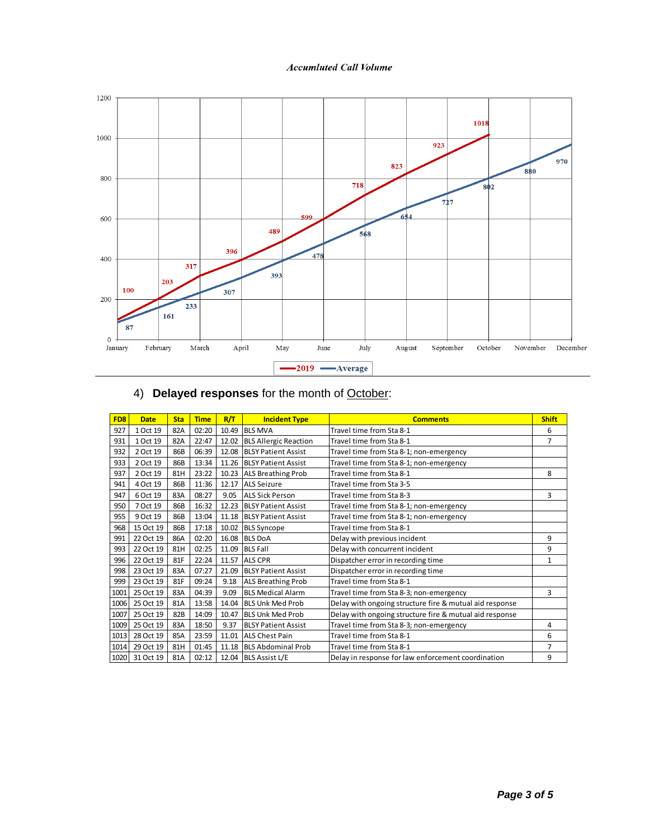### **Accumluted Call Volume**



| FD <sub>8</sub> | <b>Date</b> | <b>Sta</b> | <b>Time</b> | R/T   | <b>Incident Type</b>        | <b>Comments</b>                                         | <b>Shift</b> |
|-----------------|-------------|------------|-------------|-------|-----------------------------|---------------------------------------------------------|--------------|
| 927             | 1 Oct 19    | 82A        | 02:20       | 10.49 | <b>BLS MVA</b>              | Travel time from Sta 8-1                                | 6            |
| 931             | 1 Oct 19    | 82A        | 22:47       |       | 12.02 BLS Allergic Reaction | Travel time from Sta 8-1                                | 7            |
| 932             | 2 Oct 19    | 86B        | 06:39       |       | 12.08 BLSY Patient Assist   | Travel time from Sta 8-1; non-emergency                 |              |
| 933             | 2 Oct 19    | 86B        | 13:34       |       | 11.26 BLSY Patient Assist   | Travel time from Sta 8-1; non-emergency                 |              |
| 937             | 2 Oct 19    | 81H        | 23:22       |       | 10.23 ALS Breathing Prob    | Travel time from Sta 8-1                                | 8            |
| 941             | 4 Oct 19    | 86B        | 11:36       | 12.17 | <b>ALS Seizure</b>          | Travel time from Sta 3-5                                |              |
| 947             | 6 Oct 19    | 83A        | 08:27       | 9.05  | <b>ALS Sick Person</b>      | Travel time from Sta 8-3                                | 3            |
| 950             | 7 Oct 19    | 86B        | 16:32       | 12.23 | <b>BLSY Patient Assist</b>  | Travel time from Sta 8-1; non-emergency                 |              |
| 955             | 9 Oct 19    | 86B        | 13:04       |       | 11.18 BLSY Patient Assist   | Travel time from Sta 8-1; non-emergency                 |              |
| 968             | 15 Oct 19   | 86B        | 17:18       |       | 10.02 BLS Syncope           | Travel time from Sta 8-1                                |              |
| 991             | 22 Oct 19   | 86A        | 02:20       | 16.08 | <b>BLS DoA</b>              | Delay with previous incident                            | 9            |
| 993             | 22 Oct 19   | 81H        | 02:25       |       | 11.09 BLS Fall              | Delay with concurrent incident                          | 9            |
| 996             | 22 Oct 19   | 81F        | 22:24       | 11.57 | <b>ALS CPR</b>              | Dispatcher error in recording time                      | 1            |
| 998             | 23 Oct 19   | 83A        | 07:27       | 21.09 | <b>BLSY Patient Assist</b>  | Dispatcher error in recording time                      |              |
| 999             | 23 Oct 19   | 81F        | 09:24       | 9.18  | <b>ALS Breathing Prob</b>   | Travel time from Sta 8-1                                |              |
| 1001            | 25 Oct 19   | 83A        | 04:39       | 9.09  | <b>BLS Medical Alarm</b>    | Travel time from Sta 8-3; non-emergency                 | 3            |
| 1006            | 25 Oct 19   | 81A        | 13:58       |       | 14.04 BLS Unk Med Prob      | Delay with ongoing structure fire & mutual aid response |              |
| 1007            | 25 Oct 19   | 82B        | 14:09       | 10.47 | <b>BLS Unk Med Prob</b>     | Delay with ongoing structure fire & mutual aid response |              |
| 1009            | 25 Oct 19   | 83A        | 18:50       | 9.37  | <b>BLSY Patient Assist</b>  | Travel time from Sta 8-3; non-emergency                 | 4            |
| 1013            | 28 Oct 19   | 85A        | 23:59       | 11.01 | <b>ALS Chest Pain</b>       | Travel time from Sta 8-1                                | 6            |
| 1014            | 29 Oct 19   | 81H        | 01:45       |       | 11.18 BLS Abdominal Prob    | Travel time from Sta 8-1                                | 7            |
| 1020            | 31 Oct 19   | 81A        | 02:12       |       | 12.04 BLS Assist L/E        | Delay in response for law enforcement coordination      | 9            |

4) **Delayed responses** for the month of October: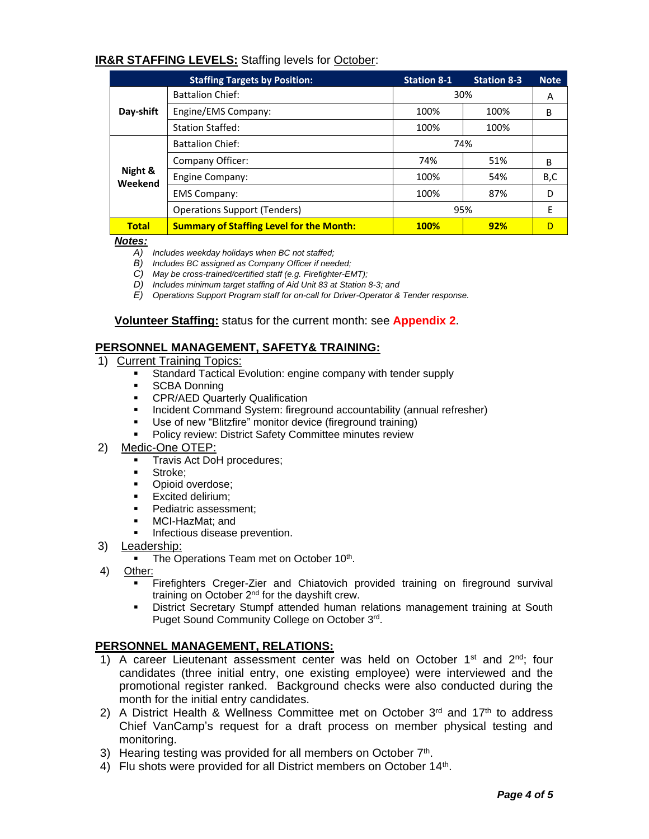# **IR&R STAFFING LEVELS:** Staffing levels for October:

|                    | <b>Staffing Targets by Position:</b>            | <b>Station 8-1</b> | <b>Station 8-3</b> | <b>Note</b> |
|--------------------|-------------------------------------------------|--------------------|--------------------|-------------|
|                    | <b>Battalion Chief:</b>                         |                    | 30%                | A           |
| Day-shift          | Engine/EMS Company:                             | 100%               | 100%               | B           |
|                    | <b>Station Staffed:</b>                         | 100%               | 100%               |             |
|                    | <b>Battalion Chief:</b>                         |                    | 74%                |             |
|                    | Company Officer:                                | 74%                | 51%                | B           |
| Night &<br>Weekend | Engine Company:                                 | 100%               | 54%                | B,C         |
|                    | <b>EMS Company:</b>                             | 100%               | 87%                | D           |
|                    | <b>Operations Support (Tenders)</b>             |                    | 95%                | E           |
| <b>Total</b>       | <b>Summary of Staffing Level for the Month:</b> | <b>100%</b>        | 92%                | D           |

*Notes:*

- *A) Includes weekday holidays when BC not staffed;*
- *B) Includes BC assigned as Company Officer if needed;*
- *C) May be cross-trained/certified staff (e.g. Firefighter-EMT);*
- *D) Includes minimum target staffing of Aid Unit 83 at Station 8-3; and*
- *E) Operations Support Program staff for on-call for Driver-Operator & Tender response.*

### **Volunteer Staffing:** status for the current month: see **Appendix 2**.

### **PERSONNEL MANAGEMENT, SAFETY& TRAINING:**

- 1) Current Training Topics:
	- Standard Tactical Evolution: engine company with tender supply
	- **SCBA Donning**
	- **-** CPR/AED Quarterly Qualification
	- **Incident Command System: fireground accountability (annual refresher)**
	- Use of new "Blitzfire" monitor device (fireground training)
	- Policy review: District Safety Committee minutes review
- 2) Medic-One OTEP:
	- **Travis Act DoH procedures;**
	- **Stroke:**
	- **•** Opioid overdose;
	- Excited delirium;<br>■ Pediatric assesse
	- Pediatric assessment;
	- MCI-HazMat; and
	- Infectious disease prevention.
- 3) Leadership:
	- The Operations Team met on October 10<sup>th</sup>.
- 4) Other:
	- Firefighters Creger-Zier and Chiatovich provided training on fireground survival training on October 2nd for the dayshift crew.
	- District Secretary Stumpf attended human relations management training at South Puget Sound Community College on October 3rd.

### **PERSONNEL MANAGEMENT, RELATIONS:**

- 1) A career Lieutenant assessment center was held on October 1<sup>st</sup> and 2<sup>nd</sup>; four candidates (three initial entry, one existing employee) were interviewed and the promotional register ranked. Background checks were also conducted during the month for the initial entry candidates.
- 2) A District Health & Wellness Committee met on October  $3<sup>rd</sup>$  and  $17<sup>th</sup>$  to address Chief VanCamp's request for a draft process on member physical testing and monitoring.
- 3) Hearing testing was provided for all members on October  $7<sup>th</sup>$ .
- 4) Flu shots were provided for all District members on October 14<sup>th</sup>.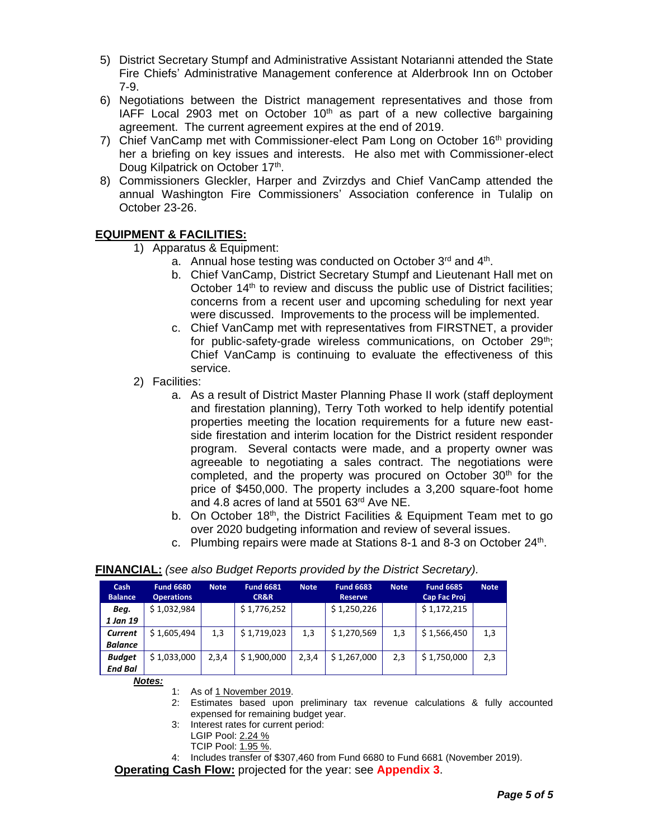- 5) District Secretary Stumpf and Administrative Assistant Notarianni attended the State Fire Chiefs' Administrative Management conference at Alderbrook Inn on October 7-9.
- 6) Negotiations between the District management representatives and those from IAFF Local 2903 met on October  $10<sup>th</sup>$  as part of a new collective bargaining agreement. The current agreement expires at the end of 2019.
- 7) Chief VanCamp met with Commissioner-elect Pam Long on October  $16<sup>th</sup>$  providing her a briefing on key issues and interests. He also met with Commissioner-elect Doug Kilpatrick on October 17<sup>th</sup>.
- 8) Commissioners Gleckler, Harper and Zvirzdys and Chief VanCamp attended the annual Washington Fire Commissioners' Association conference in Tulalip on October 23-26.

# **EQUIPMENT & FACILITIES:**

- 1) Apparatus & Equipment:
	- a. Annual hose testing was conducted on October 3<sup>rd</sup> and 4<sup>th</sup>.
	- b. Chief VanCamp, District Secretary Stumpf and Lieutenant Hall met on October 14<sup>th</sup> to review and discuss the public use of District facilities; concerns from a recent user and upcoming scheduling for next year were discussed. Improvements to the process will be implemented.
	- c. Chief VanCamp met with representatives from FIRSTNET, a provider for public-safety-grade wireless communications, on October 29<sup>th</sup>; Chief VanCamp is continuing to evaluate the effectiveness of this service.
- 2) Facilities:
	- a. As a result of District Master Planning Phase II work (staff deployment and firestation planning), Terry Toth worked to help identify potential properties meeting the location requirements for a future new eastside firestation and interim location for the District resident responder program. Several contacts were made, and a property owner was agreeable to negotiating a sales contract. The negotiations were completed, and the property was procured on October 30<sup>th</sup> for the price of \$450,000. The property includes a 3,200 square-foot home and 4.8 acres of land at 5501 63rd Ave NE.
	- b. On October 18<sup>th</sup>, the District Facilities & Equipment Team met to go over 2020 budgeting information and review of several issues.
	- c. Plumbing repairs were made at Stations 8-1 and 8-3 on October 24<sup>th</sup>.

| Cash<br><b>Balance</b> | <b>Fund 6680</b><br><b>Operations</b> | <b>Note</b> | <b>Fund 6681</b><br>CR&R | <b>Note</b> | <b>Fund 6683</b><br><b>Reserve</b> | <b>Note</b> | <b>Fund 6685</b><br>Cap Fac Proj | <b>Note</b> |
|------------------------|---------------------------------------|-------------|--------------------------|-------------|------------------------------------|-------------|----------------------------------|-------------|
| Beg.                   | \$1,032,984                           |             | \$1,776,252              |             | \$1,250,226                        |             | \$1,172,215                      |             |
| 1 Jan 19               |                                       |             |                          |             |                                    |             |                                  |             |
| Current                | \$1,605,494                           | 1,3         | \$1,719,023              | 1,3         | \$1,270,569                        | 1,3         | \$1,566,450                      | 1,3         |
| <b>Balance</b>         |                                       |             |                          |             |                                    |             |                                  |             |
| <b>Budget</b>          | \$1,033,000                           | 2,3,4       | \$1,900,000              | 2,3,4       | \$1,267,000                        | 2,3         | \$1,750,000                      | 2,3         |
| <b>End Bal</b>         |                                       |             |                          |             |                                    |             |                                  |             |

# **FINANCIAL:** *(see also Budget Reports provided by the District Secretary).*

*Notes:*

- 1: As of 1 November 2019.
- 2: Estimates based upon preliminary tax revenue calculations & fully accounted expensed for remaining budget year.
- 3: Interest rates for current period:
	- LGIP Pool: 2.24 %
		- TCIP Pool: 1.95 %.
- 4: Includes transfer of \$307,460 from Fund 6680 to Fund 6681 (November 2019).

**Operating Cash Flow:** projected for the year: see **Appendix 3**.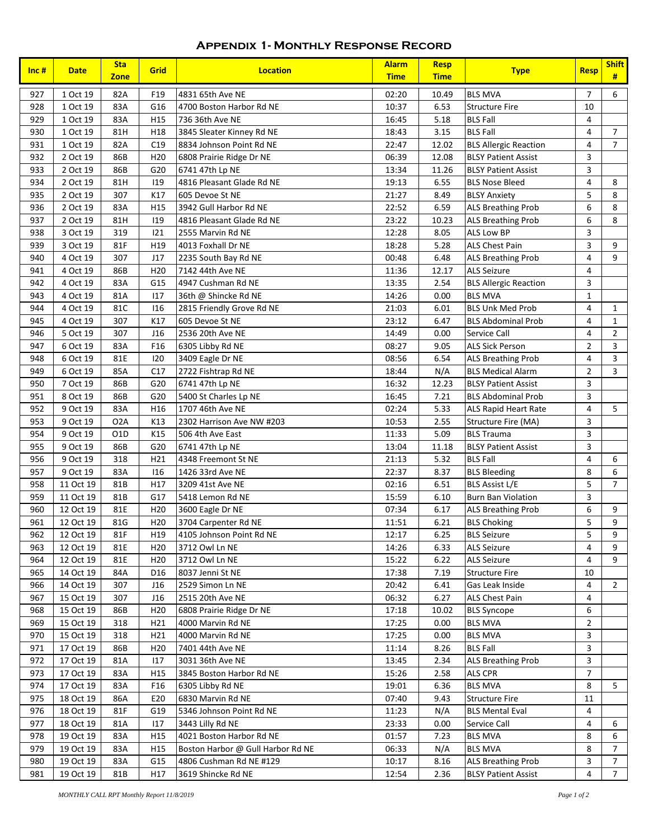# **Appendix 1- Monthly Response Record**

| Inc $#$    | <b>Date</b>            | <b>Sta</b><br><b>Zone</b> | Grid            | <b>Location</b>                                              | <b>Alarm</b><br><b>Time</b> | <b>Resp</b><br><b>Time</b> | <b>Type</b>                  | <b>Resp</b>    | <b>Shift</b><br>#       |
|------------|------------------------|---------------------------|-----------------|--------------------------------------------------------------|-----------------------------|----------------------------|------------------------------|----------------|-------------------------|
| 927        | 1 Oct 19               | 82A                       | F19             | 4831 65th Ave NE                                             | 02:20                       | 10.49                      | <b>BLS MVA</b>               | $\overline{7}$ | 6                       |
| 928        | 1 Oct 19               | 83A                       | G16             | 4700 Boston Harbor Rd NE                                     | 10:37                       | 6.53                       | <b>Structure Fire</b>        | 10             |                         |
| 929        | 1 Oct 19               | 83A                       | H <sub>15</sub> | 736 36th Ave NE                                              | 16:45                       | 5.18                       | <b>BLS Fall</b>              | 4              |                         |
| 930        | 1 Oct 19               | 81H                       | H18             | 3845 Sleater Kinney Rd NE                                    | 18:43                       | 3.15                       | <b>BLS Fall</b>              | 4              | 7                       |
| 931        | 1 Oct 19               | 82A                       | C19             | 8834 Johnson Point Rd NE                                     | 22:47                       | 12.02                      | <b>BLS Allergic Reaction</b> | 4              | $\overline{7}$          |
| 932        | 2 Oct 19               | 86B                       | H <sub>20</sub> | 6808 Prairie Ridge Dr NE                                     | 06:39                       | 12.08                      | <b>BLSY Patient Assist</b>   | 3              |                         |
| 933        | 2 Oct 19               | 86B                       | G20             | 6741 47th Lp NE                                              | 13:34                       | 11.26                      | <b>BLSY Patient Assist</b>   | 3              |                         |
| 934        | 2 Oct 19               | 81H                       | 119             | 4816 Pleasant Glade Rd NE                                    | 19:13                       | 6.55                       | <b>BLS Nose Bleed</b>        | $\overline{4}$ | 8                       |
| 935        | 2 Oct 19               | 307                       | K17             | 605 Devoe St NE                                              | 21:27                       | 8.49                       | <b>BLSY Anxiety</b>          | 5              | 8                       |
| 936        | 2 Oct 19               | 83A                       | H <sub>15</sub> | 3942 Gull Harbor Rd NE                                       | 22:52                       | 6.59                       | <b>ALS Breathing Prob</b>    | 6              | 8                       |
| 937        | 2 Oct 19               | 81H                       | 119             | 4816 Pleasant Glade Rd NE                                    | 23:22                       | 10.23                      | <b>ALS Breathing Prob</b>    | 6              | 8                       |
| 938        | 3 Oct 19               | 319                       | 121             | 2555 Marvin Rd NE                                            | 12:28                       | 8.05                       | ALS Low BP                   | 3              |                         |
| 939        | 3 Oct 19               | 81F                       | H19             | 4013 Foxhall Dr NE                                           | 18:28                       | 5.28                       | <b>ALS Chest Pain</b>        | 3              | 9                       |
| 940        | 4 Oct 19               | 307                       | J17             | 2235 South Bay Rd NE                                         | 00:48                       | 6.48                       | <b>ALS Breathing Prob</b>    | 4              | 9                       |
| 941        | 4 Oct 19               | 86B                       | H <sub>20</sub> | 7142 44th Ave NE                                             | 11:36                       | 12.17                      | <b>ALS Seizure</b>           | $\overline{4}$ |                         |
| 942        | 4 Oct 19               | 83A                       | G15             | 4947 Cushman Rd NE                                           | 13:35                       | 2.54                       | <b>BLS Allergic Reaction</b> | 3              |                         |
| 943        | 4 Oct 19               | 81A                       | 117             | 36th @ Shincke Rd NE                                         | 14:26                       | 0.00                       | <b>BLS MVA</b>               | $\mathbf{1}$   |                         |
| 944        | 4 Oct 19               | 81C                       | 116             | 2815 Friendly Grove Rd NE                                    | 21:03                       | 6.01                       | <b>BLS Unk Med Prob</b>      | 4              | $\mathbf{1}$            |
| 945        | 4 Oct 19               | 307                       | K17             | 605 Devoe St NE                                              | 23:12                       | 6.47                       | <b>BLS Abdominal Prob</b>    | 4              | $\mathbf{1}$            |
| 946        | 5 Oct 19               | 307                       | J16             | 2536 20th Ave NE                                             | 14:49                       | 0.00                       | Service Call                 | 4              | $\overline{2}$          |
| 947        | 6 Oct 19               | 83A                       | F16             | 6305 Libby Rd NE                                             | 08:27                       | 9.05                       | <b>ALS Sick Person</b>       | $\overline{2}$ | $\overline{\mathbf{3}}$ |
| 948        | 6 Oct 19               | 81E                       | 120             | 3409 Eagle Dr NE                                             | 08:56                       | 6.54                       | <b>ALS Breathing Prob</b>    | 4              | $\overline{\mathbf{3}}$ |
| 949        | 6 Oct 19               | 85A                       | C17             | 2722 Fishtrap Rd NE                                          | 18:44                       | N/A                        | <b>BLS Medical Alarm</b>     | $\overline{2}$ | $\overline{3}$          |
| 950        | 7 Oct 19               | 86B                       | G20             | 6741 47th Lp NE                                              | 16:32                       | 12.23                      | <b>BLSY Patient Assist</b>   | 3              |                         |
| 951        | 8 Oct 19               | 86B                       | G20             | 5400 St Charles Lp NE                                        | 16:45                       | 7.21                       | <b>BLS Abdominal Prob</b>    | 3              |                         |
| 952        | 9 Oct 19               | 83A                       | H16             | 1707 46th Ave NE                                             | 02:24                       | 5.33                       | <b>ALS Rapid Heart Rate</b>  | $\overline{4}$ | 5                       |
| 953        | 9 Oct 19               | O <sub>2</sub> A          | K13             | 2302 Harrison Ave NW #203                                    | 10:53                       | 2.55                       | Structure Fire (MA)          | 3              |                         |
| 954        | 9 Oct 19               | O <sub>1</sub> D          | K15             | 506 4th Ave East                                             | 11:33                       | 5.09                       | <b>BLS Trauma</b>            | 3              |                         |
| 955        | 9 Oct 19               | 86B                       | G20             | 6741 47th Lp NE                                              | 13:04                       | 11.18                      | <b>BLSY Patient Assist</b>   | 3              |                         |
| 956        | 9 Oct 19               | 318                       | H21             | 4348 Freemont St NE                                          | 21:13                       | 5.32                       | <b>BLS Fall</b>              | 4              | 6                       |
| 957        | 9 Oct 19               | 83A                       | 116             | 1426 33rd Ave NE                                             | 22:37                       | 8.37                       | <b>BLS Bleeding</b>          | 8              | 6                       |
| 958        | 11 Oct 19              | 81B                       | H17             | 3209 41st Ave NE                                             | 02:16                       | 6.51                       | <b>BLS Assist L/E</b>        | 5              | $\overline{7}$          |
| 959        | 11 Oct 19              | 81B                       | G17             | 5418 Lemon Rd NE                                             | 15:59                       | 6.10                       | <b>Burn Ban Violation</b>    | 3              |                         |
| 960        | 12 Oct 19              | 81E                       | H <sub>20</sub> | 3600 Eagle Dr NE                                             | 07:34                       | 6.17                       | <b>ALS Breathing Prob</b>    | $\,$ 6 $\,$    | 9                       |
| 961        | 12 Oct 19              | 81G                       | H <sub>20</sub> | 3704 Carpenter Rd NE                                         | 11:51                       | 6.21                       | <b>BLS Choking</b>           | 5              | 9                       |
| 962        | 12 Oct 19              | 81F                       | H19             | 4105 Johnson Point Rd NE                                     | 12:17                       | 6.25                       | <b>BLS Seizure</b>           | 5              | 9                       |
| 963        | 12 Oct 19              | 81E                       | H <sub>20</sub> | 3712 Owl Ln NE                                               | 14:26                       | 6.33                       | <b>ALS Seizure</b>           | 4              | 9                       |
| 964        | 12 Oct 19              | 81E                       | H <sub>20</sub> | 3712 Owl Ln NE                                               | 15:22                       | 6.22                       | <b>ALS Seizure</b>           | $\overline{4}$ | 9                       |
| 965        | 14 Oct 19              | 84A                       | D <sub>16</sub> | 8037 Jenni St NE                                             | 17:38                       | 7.19                       | <b>Structure Fire</b>        | 10             |                         |
| 966        | 14 Oct 19              | 307                       | <b>J16</b>      | 2529 Simon Ln NE                                             | 20:42                       | 6.41                       | Gas Leak Inside              | 4              | $\overline{2}$          |
| 967        | 15 Oct 19              | 307                       | <b>J16</b>      | 2515 20th Ave NE                                             | 06:32                       | 6.27                       | <b>ALS Chest Pain</b>        | 4              |                         |
| 968        | 15 Oct 19              | 86B                       | H <sub>20</sub> | 6808 Prairie Ridge Dr NE                                     | 17:18                       | 10.02                      | <b>BLS Syncope</b>           | 6              |                         |
| 969        | 15 Oct 19              | 318                       | H <sub>21</sub> | 4000 Marvin Rd NE                                            | 17:25                       | 0.00                       | <b>BLS MVA</b>               | $\overline{2}$ |                         |
| 970        | 15 Oct 19              | 318                       | H <sub>21</sub> | 4000 Marvin Rd NE                                            | 17:25                       | 0.00                       | <b>BLS MVA</b>               | 3              |                         |
| 971        | 17 Oct 19              | 86B                       | H <sub>20</sub> | 7401 44th Ave NE                                             | 11:14                       | 8.26                       | <b>BLS Fall</b>              | 3              |                         |
| 972        | 17 Oct 19              | 81A                       | 117             | 3031 36th Ave NE                                             | 13:45                       | 2.34                       | <b>ALS Breathing Prob</b>    | 3              |                         |
| 973        | 17 Oct 19              | 83A                       | H <sub>15</sub> | 3845 Boston Harbor Rd NE                                     | 15:26                       | 2.58                       | <b>ALS CPR</b>               | $\overline{7}$ |                         |
| 974        | 17 Oct 19              | 83A                       | F <sub>16</sub> | 6305 Libby Rd NE                                             | 19:01                       | 6.36                       | <b>BLS MVA</b>               | 8              | 5                       |
| 975        | 18 Oct 19              | 86A                       | E20             | 6830 Marvin Rd NE                                            | 07:40                       | 9.43                       | <b>Structure Fire</b>        | 11             |                         |
| 976        | 18 Oct 19              | 81F                       | G19             | 5346 Johnson Point Rd NE                                     | 11:23                       | N/A                        | <b>BLS Mental Eval</b>       | 4              |                         |
| 977        | 18 Oct 19              | 81A                       | 117             | 3443 Lilly Rd NE                                             | 23:33                       | 0.00                       | Service Call                 | 4              | 6                       |
|            |                        |                           |                 | 4021 Boston Harbor Rd NE                                     | 01:57                       |                            | <b>BLS MVA</b>               | 8              | 6                       |
| 978<br>979 | 19 Oct 19              | 83A                       | H15             |                                                              | 06:33                       | 7.23<br>N/A                | <b>BLS MVA</b>               | 8              | 7                       |
| 980        | 19 Oct 19<br>19 Oct 19 | 83A<br>83A                | H15<br>G15      | Boston Harbor @ Gull Harbor Rd NE<br>4806 Cushman Rd NE #129 | 10:17                       | 8.16                       | <b>ALS Breathing Prob</b>    | 3              | $\overline{7}$          |
| 981        |                        | 81B                       |                 |                                                              | 12:54                       |                            |                              | 4              | $7\overline{ }$         |
|            | 19 Oct 19              |                           | H17             | 3619 Shincke Rd NE                                           |                             | 2.36                       | <b>BLSY Patient Assist</b>   |                |                         |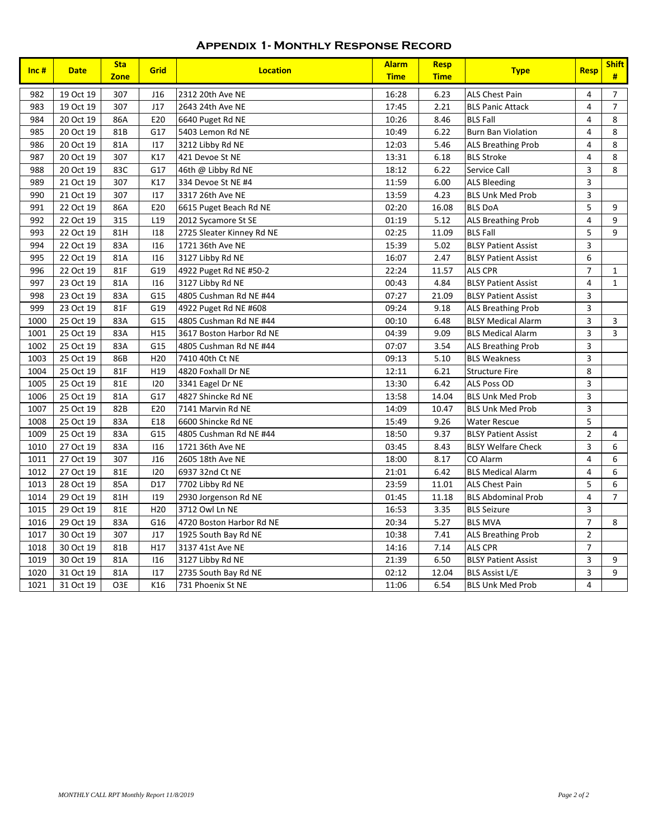### **Appendix 1- Monthly Response Record**

| Inc# | <b>Date</b> | <b>Sta</b><br><b>Zone</b> | <b>Grid</b>     | <b>Location</b>           | <b>Alarm</b><br><b>Time</b> | <b>Resp</b><br><b>Time</b> | <b>Type</b>                | <b>Resp</b>             | <b>Shift</b><br># |
|------|-------------|---------------------------|-----------------|---------------------------|-----------------------------|----------------------------|----------------------------|-------------------------|-------------------|
| 982  | 19 Oct 19   | 307                       | J16             | 2312 20th Ave NE          | 16:28                       | 6.23                       | <b>ALS Chest Pain</b>      | 4                       | $\overline{7}$    |
| 983  | 19 Oct 19   | 307                       | J17             | 2643 24th Ave NE          | 17:45                       | 2.21                       | <b>BLS Panic Attack</b>    | 4                       | $\overline{7}$    |
| 984  | 20 Oct 19   | 86A                       | E20             | 6640 Puget Rd NE          | 10:26                       | 8.46                       | <b>BLS Fall</b>            | $\overline{4}$          | 8                 |
| 985  | 20 Oct 19   | 81B                       | G17             | 5403 Lemon Rd NE          | 10:49                       | 6.22                       | <b>Burn Ban Violation</b>  | 4                       | 8                 |
| 986  | 20 Oct 19   | 81A                       | 117             | 3212 Libby Rd NE          | 12:03                       | 5.46                       | <b>ALS Breathing Prob</b>  | 4                       | 8                 |
| 987  | 20 Oct 19   | 307                       | K17             | 421 Devoe St NE           | 13:31                       | 6.18                       | <b>BLS Stroke</b>          | $\overline{4}$          | 8                 |
| 988  | 20 Oct 19   | 83C                       | G17             | 46th @ Libby Rd NE        | 18:12                       | 6.22                       | Service Call               | 3                       | 8                 |
| 989  | 21 Oct 19   | 307                       | K17             | 334 Devoe St NE #4        | 11:59                       | 6.00                       | <b>ALS Bleeding</b>        | 3                       |                   |
| 990  | 21 Oct 19   | 307                       | 117             | 3317 26th Ave NE          | 13:59                       | 4.23                       | <b>BLS Unk Med Prob</b>    | 3                       |                   |
| 991  | 22 Oct 19   | 86A                       | E20             | 6615 Puget Beach Rd NE    | 02:20                       | 16.08                      | <b>BLS DoA</b>             | 5                       | 9                 |
| 992  | 22 Oct 19   | 315                       | L <sub>19</sub> | 2012 Sycamore St SE       | 01:19                       | 5.12                       | <b>ALS Breathing Prob</b>  | $\overline{\mathbf{4}}$ | 9                 |
| 993  | 22 Oct 19   | 81H                       | 118             | 2725 Sleater Kinney Rd NE | 02:25                       | 11.09                      | <b>BLS Fall</b>            | 5                       | 9                 |
| 994  | 22 Oct 19   | 83A                       | 116             | 1721 36th Ave NE          | 15:39                       | 5.02                       | <b>BLSY Patient Assist</b> | 3                       |                   |
| 995  | 22 Oct 19   | 81A                       | 116             | 3127 Libby Rd NE          | 16:07                       | 2.47                       | <b>BLSY Patient Assist</b> | 6                       |                   |
| 996  | 22 Oct 19   | 81F                       | G19             | 4922 Puget Rd NE #50-2    | 22:24                       | 11.57                      | ALS CPR                    | $\overline{7}$          | $\mathbf{1}$      |
| 997  | 23 Oct 19   | 81A                       | 116             | 3127 Libby Rd NE          | 00:43                       | 4.84                       | <b>BLSY Patient Assist</b> | $\overline{\mathbf{4}}$ | $\mathbf{1}$      |
| 998  | 23 Oct 19   | 83A                       | G15             | 4805 Cushman Rd NE #44    | 07:27                       | 21.09                      | <b>BLSY Patient Assist</b> | 3                       |                   |
| 999  | 23 Oct 19   | 81F                       | G19             | 4922 Puget Rd NE #608     | 09:24                       | 9.18                       | <b>ALS Breathing Prob</b>  | $\overline{3}$          |                   |
| 1000 | 25 Oct 19   | 83A                       | G15             | 4805 Cushman Rd NE #44    | 00:10                       | 6.48                       | <b>BLSY Medical Alarm</b>  | $\overline{3}$          | 3                 |
| 1001 | 25 Oct 19   | 83A                       | H15             | 3617 Boston Harbor Rd NE  | 04:39                       | 9.09                       | <b>BLS Medical Alarm</b>   | $\overline{\mathbf{3}}$ | $\overline{3}$    |
| 1002 | 25 Oct 19   | 83A                       | G15             | 4805 Cushman Rd NE #44    | 07:07                       | 3.54                       | <b>ALS Breathing Prob</b>  | 3                       |                   |
| 1003 | 25 Oct 19   | 86B                       | H <sub>20</sub> | 7410 40th Ct NE           | 09:13                       | 5.10                       | <b>BLS Weakness</b>        | $\overline{\mathbf{3}}$ |                   |
| 1004 | 25 Oct 19   | 81F                       | H19             | 4820 Foxhall Dr NE        | 12:11                       | 6.21                       | <b>Structure Fire</b>      | 8                       |                   |
| 1005 | 25 Oct 19   | 81E                       | 120             | 3341 Eagel Dr NE          | 13:30                       | 6.42                       | ALS Poss OD                | 3                       |                   |
| 1006 | 25 Oct 19   | 81A                       | G17             | 4827 Shincke Rd NE        | 13:58                       | 14.04                      | <b>BLS Unk Med Prob</b>    | 3                       |                   |
| 1007 | 25 Oct 19   | 82B                       | E20             | 7141 Marvin Rd NE         | 14:09                       | 10.47                      | <b>BLS Unk Med Prob</b>    | 3                       |                   |
| 1008 | 25 Oct 19   | 83A                       | E18             | 6600 Shincke Rd NE        | 15:49                       | 9.26                       | <b>Water Rescue</b>        | $\overline{5}$          |                   |
| 1009 | 25 Oct 19   | 83A                       | G15             | 4805 Cushman Rd NE #44    | 18:50                       | 9.37                       | <b>BLSY Patient Assist</b> | $\overline{2}$          | 4                 |
| 1010 | 27 Oct 19   | 83A                       | 116             | 1721 36th Ave NE          | 03:45                       | 8.43                       | <b>BLSY Welfare Check</b>  | 3                       | 6                 |
| 1011 | 27 Oct 19   | 307                       | J16             | 2605 18th Ave NE          | 18:00                       | 8.17                       | CO Alarm                   | $\overline{\mathbf{4}}$ | 6                 |
| 1012 | 27 Oct 19   | 81E                       | 120             | 6937 32nd Ct NE           | 21:01                       | 6.42                       | <b>BLS Medical Alarm</b>   | 4                       | $\,6$             |
| 1013 | 28 Oct 19   | 85A                       | D17             | 7702 Libby Rd NE          | 23:59                       | 11.01                      | ALS Chest Pain             | 5                       | 6                 |
| 1014 | 29 Oct 19   | 81H                       | 119             | 2930 Jorgenson Rd NE      | 01:45                       | 11.18                      | <b>BLS Abdominal Prob</b>  | 4                       | $\overline{7}$    |
| 1015 | 29 Oct 19   | 81E                       | H <sub>20</sub> | 3712 Owl Ln NE            | 16:53                       | 3.35                       | <b>BLS Seizure</b>         | 3                       |                   |
| 1016 | 29 Oct 19   | 83A                       | G16             | 4720 Boston Harbor Rd NE  | 20:34                       | 5.27                       | <b>BLS MVA</b>             | $\overline{7}$          | 8                 |
| 1017 | 30 Oct 19   | 307                       | J17             | 1925 South Bay Rd NE      | 10:38                       | 7.41                       | <b>ALS Breathing Prob</b>  | $\overline{2}$          |                   |
| 1018 | 30 Oct 19   | 81B                       | H17             | 3137 41st Ave NE          | 14:16                       | 7.14                       | <b>ALS CPR</b>             | $\overline{7}$          |                   |
| 1019 | 30 Oct 19   | 81A                       | 116             | 3127 Libby Rd NE          | 21:39                       | 6.50                       | <b>BLSY Patient Assist</b> | 3                       | 9                 |
| 1020 | 31 Oct 19   | 81A                       | 117             | 2735 South Bay Rd NE      | 02:12                       | 12.04                      | <b>BLS Assist L/E</b>      | 3                       | 9                 |
| 1021 | 31 Oct 19   | O3E                       | K16             | 731 Phoenix St NE         | 11:06                       | 6.54                       | <b>BLS Unk Med Prob</b>    | 4                       |                   |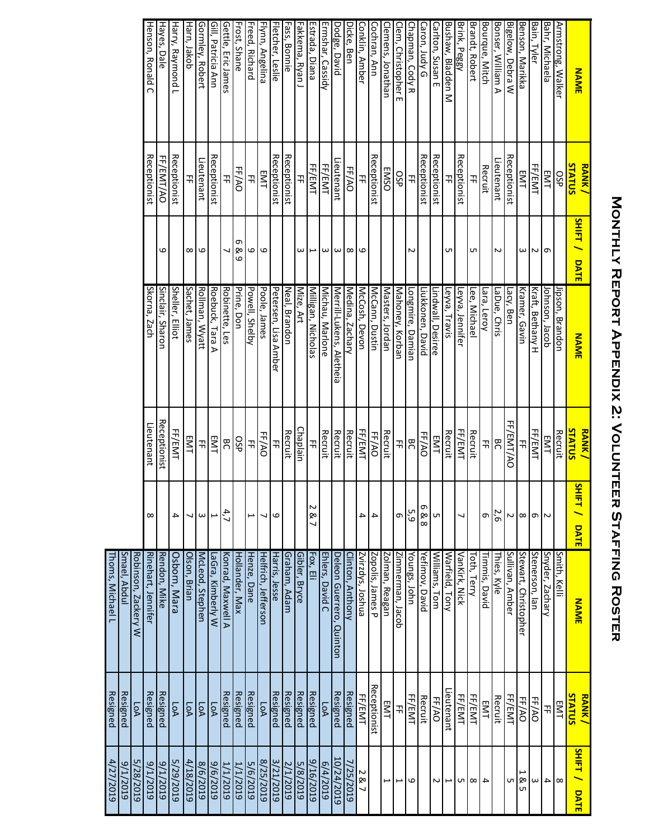# MONTHLY REPORT APPENDIX 2: VOLUNTEER STAFFING ROSTER **Monthly Report Appendix 2: Volunteer Staffing Roster**

| <b>NAME</b>                         | <b>STATUS</b><br><b>RANK/</b> | <b>SHIFT/</b><br>DATE | <b>NAME</b>              | STATUS<br><b>RANK/</b> | SНIFT /<br><b>DATE</b> | <b>NAME</b>              | STATUS<br><b>RANK/</b> | <b>SHIFT / DATE</b>      |
|-------------------------------------|-------------------------------|-----------------------|--------------------------|------------------------|------------------------|--------------------------|------------------------|--------------------------|
| Armstrong, Walker                   | SP                            |                       | ipson, Brandon           | Recruit                |                        | Smith, Kelli             | EMT                    | $\infty$                 |
| Bahr, Michaela                      | EMT                           | G                     | lohnson, Jacob           | EMT<br>EMT             |                        | Snyder, Zachary          | 끆                      | 4                        |
| Bain, Tyler                         | FF/EMT                        | N                     | Kraft, Bethany H         | FF/EMT                 | $\sigma$   $\sim$      | Stenerson, lan           | FF/AO                  | $\omega$                 |
| Benson, Marikka                     | EMT                           | ω                     | Kramer, Gavin            | 곢                      | $\infty$               | Stewart, Christopher     | FF/AO                  | 1 &<br>UП                |
| Bigelow, Debra W                    | Receptionist                  |                       | Lacy, Ben                | FF/EMT/AO              | N                      | Sullivan, Amber          | FF/EMT                 | UП                       |
| Bonser, William A                   | Lieutenant                    | 2                     | LaDue, Chris             | ЭЯ                     | 2,6                    | Thies, Kyle              | Recruit                |                          |
| Bourque, Mitch                      | Recruit                       |                       | Lara, Leroy              | 끆                      | 9                      | Timmis, David            | EMT                    | $\overline{\phantom{a}}$ |
| Brandt, Robert                      | 끆                             | UП                    | Lee, Michae              | Recruit                |                        | Toth, Terry              | FF/EMT                 | $\infty$                 |
| Brink, Peggy                        | <b>Receptionist</b>           |                       | Leyva, Jennifer          | FF/EMT                 | ┙                      | <u>VanKirk, N</u> ick    | FF/EMT                 | UП                       |
| Bushaw, Bladden<br>$\leq$           | 끆                             | UП                    | Leyva, Travis            | Recruit                |                        | Warfield,<br>I ony       | Lieutenant             | ⊢                        |
| Carlton, Susan E                    | Receptionist                  |                       | Lindwall, Desiree        | EMT                    | UТ                     | Williams,<br>Tom         | FF/AO                  | N                        |
| Caron, Judy G                       | Receptionist                  |                       | Liukkonen, David         | FF/AO                  | თ<br>œ<br>$\infty$     | Yefimov, David           | Recruit                |                          |
| Chapman, Cody R                     | 끆                             | N                     | Longmire, Damian         | BC                     | 5,9                    | oungs, John              | FF/EMT                 | ဖ                        |
| Clem, Christopher<br>$\blacksquare$ | <b>OSP</b>                    |                       | Mahoney, Korban          | 끆                      | თ                      | mmerman, Jacob           | 곢                      | ⊢                        |
| Clemens, Jonathan                   | <b>EMSO</b>                   |                       | Masters, Jordan          | Recruit                |                        | Zolman, Reagan           | EMT                    | ⊢                        |
| Cochran, Ann                        | Receptionist                  |                       | McCann, Dustin           | FF/AO                  | 4                      | Zopolis, James P         | Receptionist           |                          |
| Conklin, Amber                      | 곢                             |                       | McCosh, Devon            | FF/EMT                 | 4                      | Zvirzdys, Joshua         | FF/EMT                 | 287                      |
| Dicke, Ben                          | FF/AO                         | $\infty$ $\infty$     | Medina, Zachary          | <b>Recruit</b>         |                        | Clinton, Anthony         | Resigned               | 7/25/2019                |
| Dodge, David                        | Lieutenant                    |                       | Merrill-Lukens, Aletheia | Recruit                |                        | Deleon Guerrero, Quinton | Resigned               | 10/24/2019               |
| Ermshar, Cassidy                    | FF/EMT                        | $\omega$ $\omega$     | Michau, Marlone          | Recruit                |                        | Ehlers, David C          | $\overline{P}$         | 614/2019                 |
| Estrada, Diana                      | FF/EMT                        | ⊢                     | Milligan, Nicholas       | 곢                      | N<br>œ                 | Fox, Eli                 | Resigned               | 9/16/2019                |
| Fakkema, Ryan J                     | 끆                             | ω                     | Mize, Art                | Chaplain               |                        | Gibler, Bryce            | Resigned               | 5/8/2019                 |
| Fass, Bonnie                        | Receptionist                  |                       | Neal, Brandon            | <b>Recruit</b>         |                        | Graham, Adam             | Resigned               | 2/1/2019                 |
| Fletcher, Leslie                    | <b>Receptionist</b>           |                       | Petersen, Lisa Amber     | 곢                      | ဖ                      | Harris, Jesse            | Resigned               | 8/21/2019                |
| Flynn, Angelina                     | <b>EMT</b>                    | 6                     | Poole, James             | FF/AO                  | ┙                      | Helfrich, Jefferson      | $\overline{P}$         | 8/25/2019                |
| Freed, Richard                      | 곢                             | ဖ                     | Powell, Shelby           | 곢                      |                        | Henze, Dane              | Resigned               | 5/6/2019                 |
| Frost, Shane                        | FF/AO                         | თ<br>œ<br>6           | Prine, Don               | 9SP                    |                        | Hollander, Max           | Resigned               | 1/1/2019                 |
| Gettle, Eric James                  | 곢                             |                       | Robinette, Les           | BC                     | 4, 7                   | Konrad, Maxwell A        | Resigned               | 1/1/2019                 |
| Gill, Patricia Ann                  | <b>Receptionist</b>           |                       | Roebuck, Tara A          | EMT                    | L                      | -aGra, Kimberly W        | LOA                    | 9/6/2019                 |
| <u>Gormley, Robert</u>              | Lieutenant                    | G                     | Rollman, Wyatt           | 곢                      | $\omega$               | McLeod, Stephen          | $\overline{p}$         | 8/6/2019                 |
| Harn, Jakob                         | 곢                             | $^{\circ}$            | Sachet, James            | EMT                    | ┙                      | Olson, Brian             | PоД                    | 4/18/2019                |
| Harry, Raymond L                    | Receptionist                  |                       | Sheller, Elliot          | FF/EMT                 | 4                      | Osborn, Mara             | $\overline{p}$         | 5/29/2019                |
| Hayes, Dale                         | FF/EMT/AO                     | 6                     | Sinclair, Sharon         | Receptionist           |                        | Rendon, Mike             | Resigned               | 611/2019                 |
| Henson, Ronald C                    | Receptionist                  |                       | Skorna,<br><b>Zach</b>   | Lieutenant             | $\infty$               | Rinehart, Jennifer       | Resigned               | 611/2019                 |
|                                     |                               |                       |                          |                        |                        | Robinson, Zackery W      | $\overline{5}$         | <u>ர</u><br>28/2019      |
|                                     |                               |                       |                          |                        |                        | Smael, Abdul             | Resigned               | 611/2019                 |

Thoms, Michael L

Thoms, Michael L

Resigned

4/27/2019